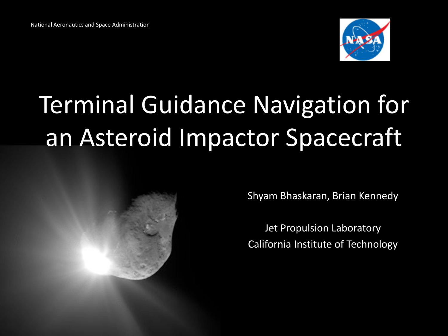

# Terminal Guidance Navigation for an Asteroid Impactor Spacecraft



Shyam Bhaskaran, Brian Kennedy

Jet Propulsion Laboratory California Institute of Technology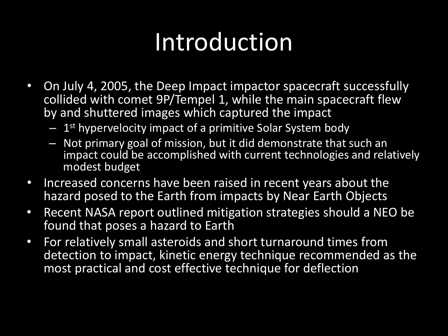## Introduction

- On July 4, 2005, the Deep Impact impactor spacecraft successfully collided with comet 9P/Tempel 1, while the main spacecraft flew by and shuttered images which captured the impact
	- $-1$ <sup>st</sup> hypervelocity impact of a primitive Solar System body
	- Not primary goal of mission, but it did demonstrate that such an impact could be accomplished with current technologies and relatively modest budget
- Increased concerns have been raised in recent years about the hazard posed to the Earth from impacts by Near Earth Objects
- Recent NASA report outlined mitigation strategies should a NEO be found that poses a hazard to Earth
- For relatively small asteroids and short turnaround times from detection to impact, kinetic energy technique recommended as the most practical and cost effective technique for deflection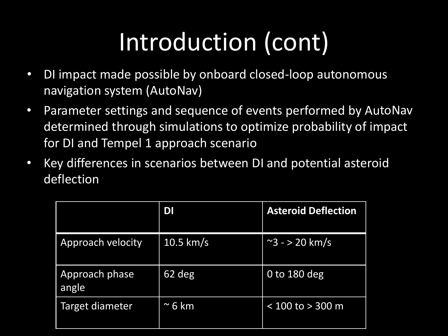# Introduction (cont)

- DI impact made possible by onboard closed-loop autonomous navigation system (AutoNav)
- Parameter settings and sequence of events performed by AutoNav determined through simulations to optimize probability of impact for DI and Tempel 1 approach scenario
- Key differences in scenarios between DI and potential asteroid deflection

|                         | DI             | <b>Asteroid Deflection</b> |
|-------------------------|----------------|----------------------------|
| Approach velocity       | $10.5$ km/s    | $\approx$ 3 - > 20 km/s    |
| Approach phase<br>angle | 62 deg         | 0 to $180$ deg             |
| Target diameter         | $\approx$ 6 km | $< 100$ to $> 300$ m       |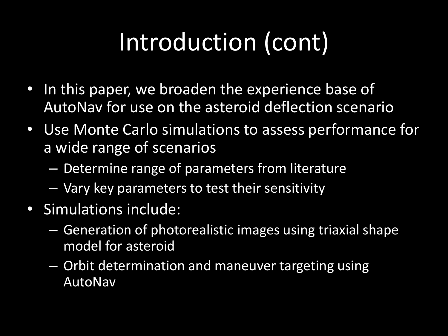# Introduction (cont)

- In this paper, we broaden the experience base of AutoNav for use on the asteroid deflection scenario
- Use Monte Carlo simulations to assess performance for a wide range of scenarios
	- Determine range of parameters from literature
	- Vary key parameters to test their sensitivity
- Simulations include:
	- Generation of photorealistic images using triaxial shape model for asteroid
	- Orbit determination and maneuver targeting using AutoNav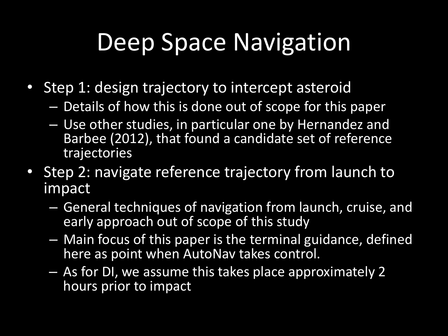## Deep Space Navigation

- Step 1: design trajectory to intercept asteroid
	- Details of how this is done out of scope for this paper
	- Use other studies, in particular one by Hernandez and Barbee (2012), that found a candidate set of reference trajectories
- Step 2: navigate reference trajectory from launch to impact
	- General techniques of navigation from launch, cruise, and early approach out of scope of this study
	- Main focus of this paper is the terminal guidance, defined here as point when AutoNav takes control.
	- As for DI, we assume this takes place approximately 2 hours prior to impact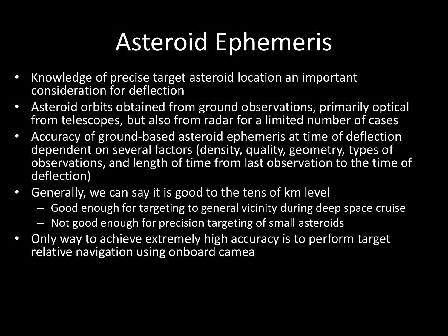# Asteroid Ephemeris

- Knowledge of precise target asteroid location an important consideration for deflection
- Asteroid orbits obtained from ground observations, primarily optical from telescopes, but also from radar for a limited number of cases
- Accuracy of ground-based asteroid ephemeris at time of deflection dependent on several factors (density, quality, geometry, types of observations, and length of time from last observation to the time of deflection)
- Generally, we can say it is good to the tens of km level
	- Good enough for targeting to general vicinity during deep space cruise
	- Not good enough for precision targeting of small asteroids
- Only way to achieve extremely high accuracy is to perform target relative navigation using onboard camea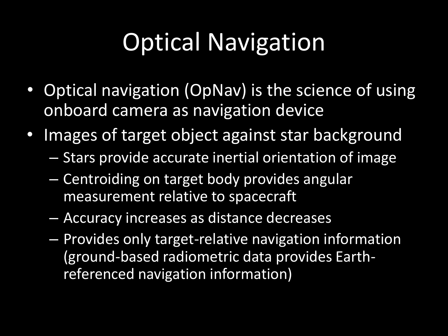# Optical Navigation

- Optical navigation (OpNav) is the science of using onboard camera as navigation device
- Images of target object against star background
	- Stars provide accurate inertial orientation of image
	- Centroiding on target body provides angular measurement relative to spacecraft
	- Accuracy increases as distance decreases
	- Provides only target-relative navigation information (ground-based radiometric data provides Earthreferenced navigation information)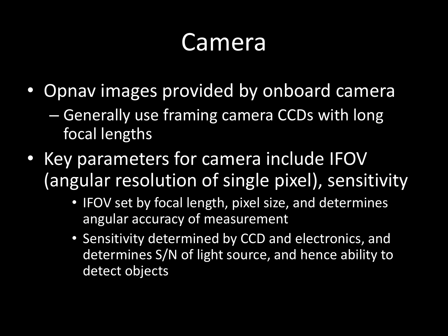#### Camera

- Opnav images provided by onboard camera
	- Generally use framing camera CCDs with long focal lengths
- Key parameters for camera include IFOV (angular resolution of single pixel), sensitivity
	- IFOV set by focal length, pixel size, and determines angular accuracy of measurement
	- Sensitivity determined by CCD and electronics, and determines S/N of light source, and hence ability to detect objects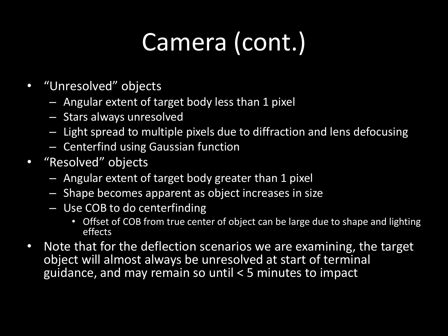# Camera (cont.)

- "Unresolved" objects
	- Angular extent of target body less than 1 pixel
	- Stars always unresolved
	- Light spread to multiple pixels due to diffraction and lens defocusing
	- Centerfind using Gaussian function
- "Resolved" objects
	- Angular extent of target body greater than 1 pixel
	- Shape becomes apparent as object increases in size
	- Use COB to do centerfinding
		- Offset of COB from true center of object can be large due to shape and lighting effects
- Note that for the deflection scenarios we are examining, the target object will almost always be unresolved at start of terminal guidance, and may remain so until < 5 minutes to impact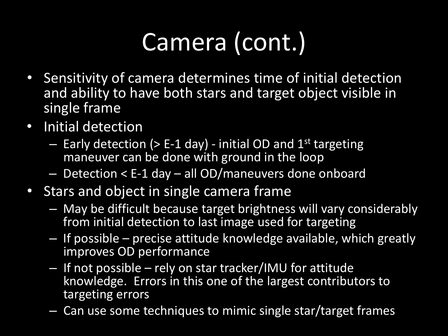# Camera (cont.)

- Sensitivity of camera determines time of initial detection and ability to have both stars and target object visible in single frame
- Initial detection
	- $-$  Early detection (> E-1 day) initial OD and 1<sup>st</sup> targeting maneuver can be done with ground in the loop
	- Detection < E-1 day all OD/maneuvers done onboard
- Stars and object in single camera frame
	- May be difficult because target brightness will vary considerably from initial detection to last image used for targeting
	- If possible precise attitude knowledge available, which greatly improves OD performance
	- If not possible rely on star tracker/IMU for attitude knowledge. Errors in this one of the largest contributors to targeting errors
	- Can use some techniques to mimic single star/target frames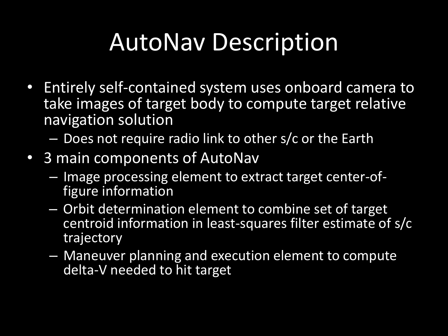## AutoNav Description

- Entirely self-contained system uses onboard camera to take images of target body to compute target relative navigation solution
	- Does not require radio link to other s/c or the Earth
- 3 main components of AutoNav
	- Image processing element to extract target center-of- figure information
	- Orbit determination element to combine set of target centroid information in least-squares filter estimate of s/c trajectory
	- Maneuver planning and execution element to compute delta-V needed to hit target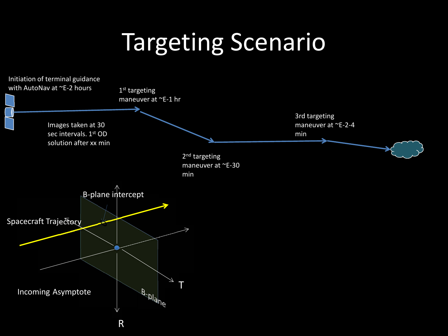#### Targeting Scenario

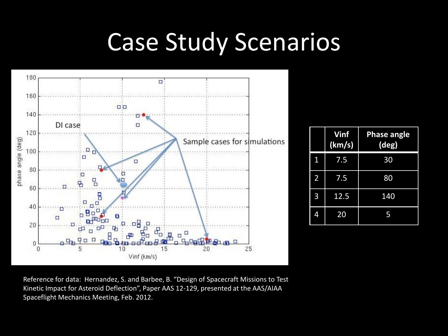#### Case Study Scenarios



|                | Vinf<br>(km/s) | <b>Phase angle</b><br>(deg) |  |  |
|----------------|----------------|-----------------------------|--|--|
| 1              | 7.5            | 30                          |  |  |
| $\overline{2}$ | 7.5            | 80                          |  |  |
| 3<br>12.5      |                | 140                         |  |  |
| 4              | 20             | 5                           |  |  |

Reference for data: Hernandez, S. and Barbee, B. "Design of Spacecraft Missions to Test Kinetic Impact for Asteroid Deflection", Paper AAS 12-129, presented at the AAS/AIAA Spaceflight Mechanics Meeting, Feb. 2012.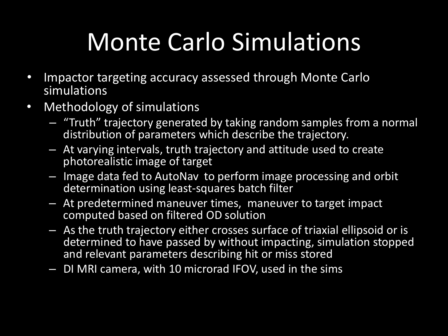# Monte Carlo Simulations

- Impactor targeting accuracy assessed through Monte Carlo simulations
- Methodology of simulations
	- "Truth" trajectory generated by taking random samples from a normal distribution of parameters which describe the trajectory.
	- At varying intervals, truth trajectory and attitude used to create photorealistic image of target
	- Image data fed to AutoNav to perform image processing and orbit determination using least-squares batch filter
	- At predetermined maneuver times, maneuver to target impact computed based on filtered OD solution
	- As the truth trajectory either crosses surface of triaxial ellipsoid or is determined to have passed by without impacting, simulation stopped and relevant parameters describing hit or miss stored
	- DI MRI camera, with 10 microrad IFOV, used in the sims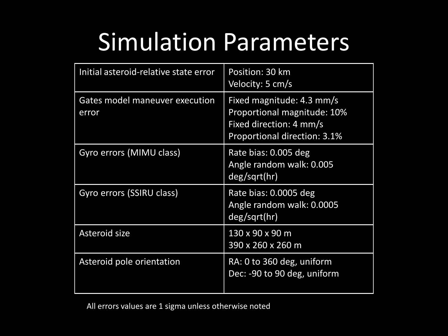## Simulation Parameters

| Initial asteroid-relative state error   | Position: 30 km<br>Velocity: 5 cm/s                                                                                        |  |  |
|-----------------------------------------|----------------------------------------------------------------------------------------------------------------------------|--|--|
| Gates model maneuver execution<br>error | Fixed magnitude: 4.3 mm/s<br><b>Proportional magnitude: 10%</b><br>Fixed direction: 4 mm/s<br>Proportional direction: 3.1% |  |  |
| Gyro errors (MIMU class)                | Rate bias: 0.005 deg<br>Angle random walk: 0.005<br>deg/sqrt(hr)                                                           |  |  |
| Gyro errors (SSIRU class)               | Rate bias: 0.0005 deg<br>Angle random walk: 0.0005<br>deg/sqrt(hr)                                                         |  |  |
| Asteroid size                           | 130 x 90 x 90 m<br>390 x 260 x 260 m                                                                                       |  |  |
| Asteroid pole orientation               | RA: 0 to 360 deg, uniform<br>Dec: -90 to 90 deg, uniform                                                                   |  |  |

All errors values are 1 sigma unless otherwise noted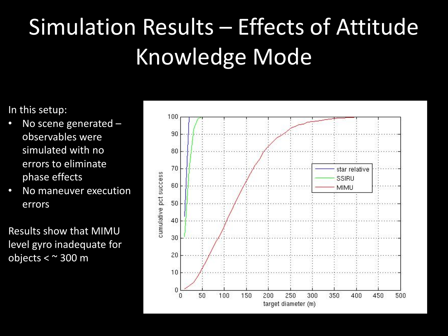# Simulation Results – Effects of Attitude Knowledge Mode

In this setup:

- No scene generated observables were simulated with no errors to eliminate phase effects
- No maneuver execution errors

Results show that MIMU level gyro inadequate for objects < ~ 300 m

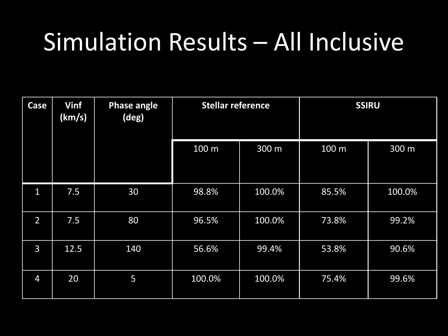#### Simulation Results – All Inclusive

| Case           | Vinf<br>(km/s) | <b>Phase angle</b><br>(deg) | <b>Stellar reference</b> |        | <b>SSIRU</b> |        |
|----------------|----------------|-----------------------------|--------------------------|--------|--------------|--------|
|                |                |                             | 100 m                    | 300 m  | 100 m        | 300 m  |
| $\mathbf{1}$   | 7.5            | 30                          | 98.8%                    | 100.0% | 85.5%        | 100.0% |
| $\overline{2}$ | 7.5            | 80                          | 96.5%                    | 100.0% | 73.8%        | 99.2%  |
| $\overline{3}$ | 12.5           | 140                         | 56.6%                    | 99.4%  | 53.8%        | 90.6%  |
| $\overline{4}$ | 20             | 5                           | 100.0%                   | 100.0% | 75.4%        | 99.6%  |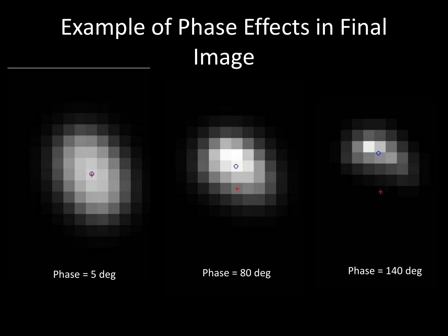## Example of Phase Effects in Final Image



Phase = 5 deg Phase = 80 deg Phase = 140 deg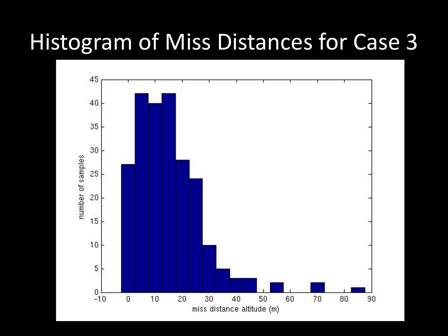#### Histogram of Miss Distances for Case 3